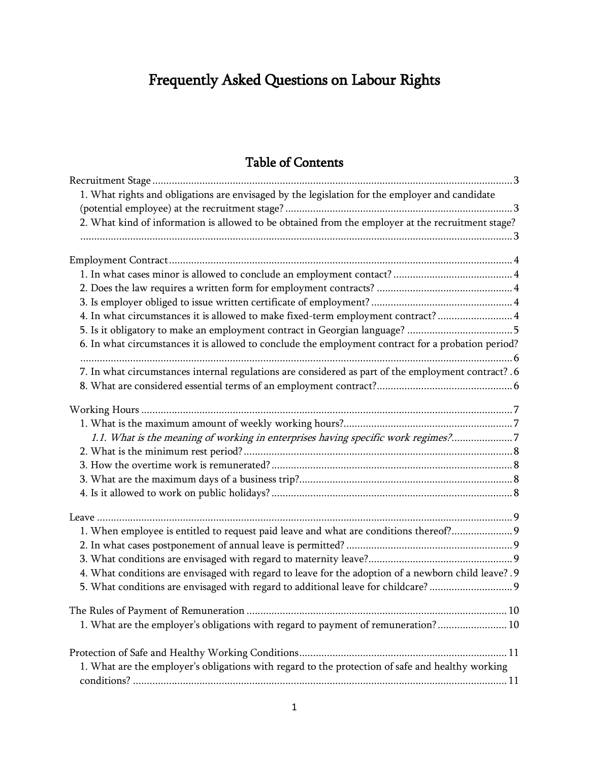# Frequently Asked Questions on Labour Rights

# Table of Contents

| 1. What rights and obligations are envisaged by the legislation for the employer and candidate       |  |
|------------------------------------------------------------------------------------------------------|--|
|                                                                                                      |  |
| 2. What kind of information is allowed to be obtained from the employer at the recruitment stage?    |  |
|                                                                                                      |  |
|                                                                                                      |  |
|                                                                                                      |  |
|                                                                                                      |  |
| 4. In what circumstances it is allowed to make fixed-term employment contract?  4                    |  |
|                                                                                                      |  |
| 6. In what circumstances it is allowed to conclude the employment contract for a probation period?   |  |
| 7. In what circumstances internal regulations are considered as part of the employment contract? . 6 |  |
|                                                                                                      |  |
|                                                                                                      |  |
|                                                                                                      |  |
| 1.1. What is the meaning of working in enterprises having specific work regimes?7                    |  |
|                                                                                                      |  |
|                                                                                                      |  |
|                                                                                                      |  |
|                                                                                                      |  |
|                                                                                                      |  |
| 1. When employee is entitled to request paid leave and what are conditions thereof? 9                |  |
|                                                                                                      |  |
|                                                                                                      |  |
| 4. What conditions are envisaged with regard to leave for the adoption of a newborn child leave? .9  |  |
| 5. What conditions are envisaged with regard to additional leave for childcare?                      |  |
|                                                                                                      |  |
| 1. What are the employer's obligations with regard to payment of remuneration? 10                    |  |
|                                                                                                      |  |
| 1. What are the employer's obligations with regard to the protection of safe and healthy working     |  |
|                                                                                                      |  |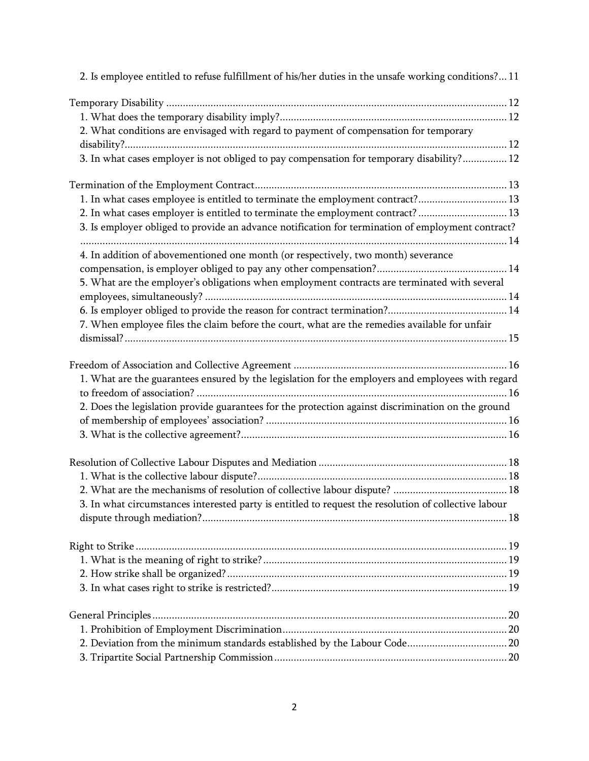| 2. Is employee entitled to refuse fulfillment of his/her duties in the unsafe working conditions? 11 |  |
|------------------------------------------------------------------------------------------------------|--|
|                                                                                                      |  |
|                                                                                                      |  |
| 2. What conditions are envisaged with regard to payment of compensation for temporary                |  |
|                                                                                                      |  |
| 3. In what cases employer is not obliged to pay compensation for temporary disability? 12            |  |
|                                                                                                      |  |
| 1. In what cases employee is entitled to terminate the employment contract? 13                       |  |
| 2. In what cases employer is entitled to terminate the employment contract?  13                      |  |
| 3. Is employer obliged to provide an advance notification for termination of employment contract?    |  |
|                                                                                                      |  |
| 4. In addition of abovementioned one month (or respectively, two month) severance                    |  |
|                                                                                                      |  |
| 5. What are the employer's obligations when employment contracts are terminated with several         |  |
|                                                                                                      |  |
| 7. When employee files the claim before the court, what are the remedies available for unfair        |  |
|                                                                                                      |  |
|                                                                                                      |  |
| 1. What are the guarantees ensured by the legislation for the employers and employees with regard    |  |
|                                                                                                      |  |
| 2. Does the legislation provide guarantees for the protection against discrimination on the ground   |  |
|                                                                                                      |  |
|                                                                                                      |  |
|                                                                                                      |  |
|                                                                                                      |  |
|                                                                                                      |  |
| 3. In what circumstances interested party is entitled to request the resolution of collective labour |  |
|                                                                                                      |  |
|                                                                                                      |  |
|                                                                                                      |  |
|                                                                                                      |  |
|                                                                                                      |  |
|                                                                                                      |  |
|                                                                                                      |  |
|                                                                                                      |  |
|                                                                                                      |  |
|                                                                                                      |  |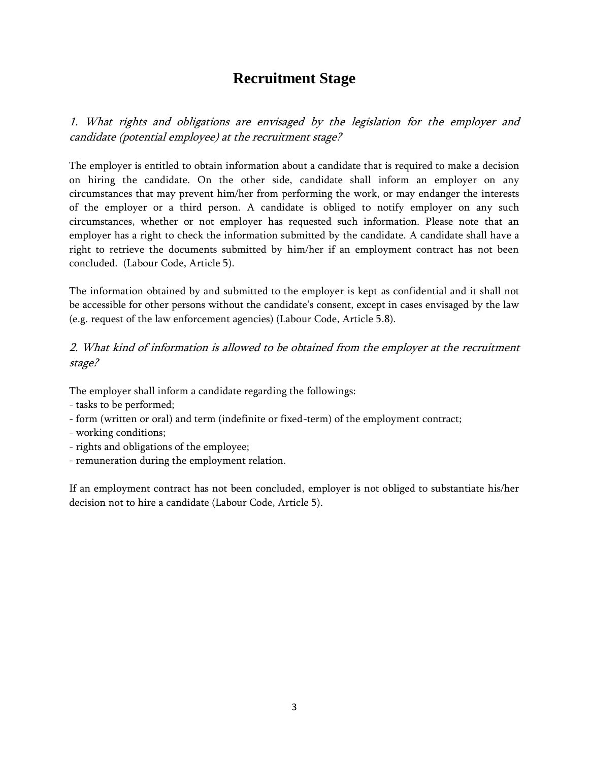# **Recruitment Stage**

<span id="page-2-1"></span><span id="page-2-0"></span>1. What rights and obligations are envisaged by the legislation for the employer and candidate (potential employee) at the recruitment stage?

The employer is entitled to obtain information about a candidate that is required to make a decision on hiring the candidate. On the other side, candidate shall inform an employer on any circumstances that may prevent him/her from performing the work, or may endanger the interests of the employer or a third person. A candidate is obliged to notify employer on any such circumstances, whether or not employer has requested such information. Please note that an employer has a right to check the information submitted by the candidate. A candidate shall have a right to retrieve the documents submitted by him/her if an employment contract has not been concluded. (Labour Code, Article 5).

The information obtained by and submitted to the employer is kept as confidential and it shall not be accessible for other persons without the candidate's consent, except in cases envisaged by the law (e.g. request of the law enforcement agencies) (Labour Code, Article 5.8).

## <span id="page-2-2"></span>2. What kind of information is allowed to be obtained from the employer at the recruitment stage?

The employer shall inform a candidate regarding the followings:

- tasks to be performed;
- form (written or oral) and term (indefinite or fixed-term) of the employment contract;
- working conditions;
- rights and obligations of the employee;
- remuneration during the employment relation.

If an employment contract has not been concluded, employer is not obliged to substantiate his/her decision not to hire a candidate (Labour Code, Article 5).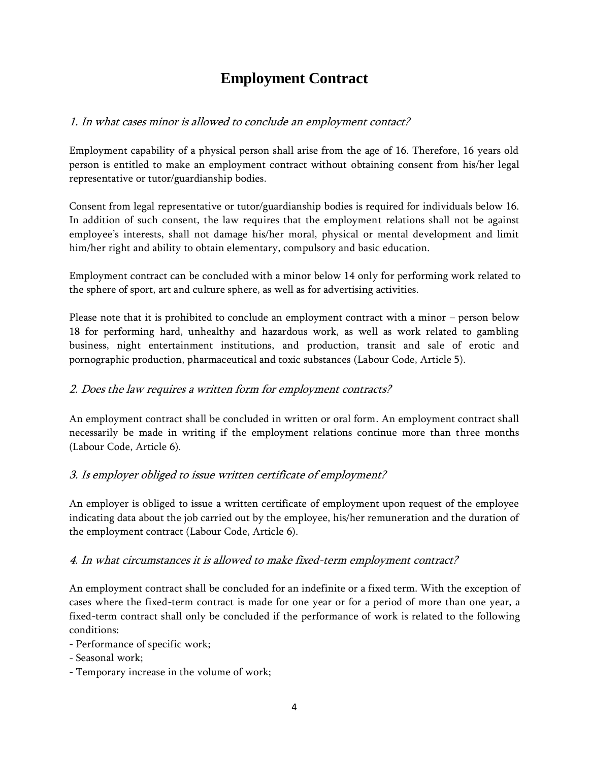# **Employment Contract**

## <span id="page-3-1"></span><span id="page-3-0"></span>1. In what cases minor is allowed to conclude an employment contact?

Employment capability of a physical person shall arise from the age of 16. Therefore, 16 years old person is entitled to make an employment contract without obtaining consent from his/her legal representative or tutor/guardianship bodies.

Consent from legal representative or tutor/guardianship bodies is required for individuals below 16. In addition of such consent, the law requires that the employment relations shall not be against employee's interests, shall not damage his/her moral, physical or mental development and limit him/her right and ability to obtain elementary, compulsory and basic education.

Employment contract can be concluded with a minor below 14 only for performing work related to the sphere of sport, art and culture sphere, as well as for advertising activities.

Please note that it is prohibited to conclude an employment contract with a minor – person below 18 for performing hard, unhealthy and hazardous work, as well as work related to gambling business, night entertainment institutions, and production, transit and sale of erotic and pornographic production, pharmaceutical and toxic substances (Labour Code, Article 5).

### <span id="page-3-2"></span>2. Does the law requires a written form for employment contracts?

An employment contract shall be concluded in written or oral form. An employment contract shall necessarily be made in writing if the employment relations continue more than three months (Labour Code, Article 6).

# <span id="page-3-3"></span>3. Is employer obliged to issue written certificate of employment?

An employer is obliged to issue a written certificate of employment upon request of the employee indicating data about the job carried out by the employee, his/her remuneration and the duration of the employment contract (Labour Code, Article 6).

### <span id="page-3-4"></span>4. In what circumstances it is allowed to make fixed-term employment contract?

An employment contract shall be concluded for an indefinite or a fixed term. With the exception of cases where the fixed-term contract is made for one year or for a period of more than one year, a fixed-term contract shall only be concluded if the performance of work is related to the following conditions:

- Performance of specific work;

- Seasonal work;

- Temporary increase in the volume of work;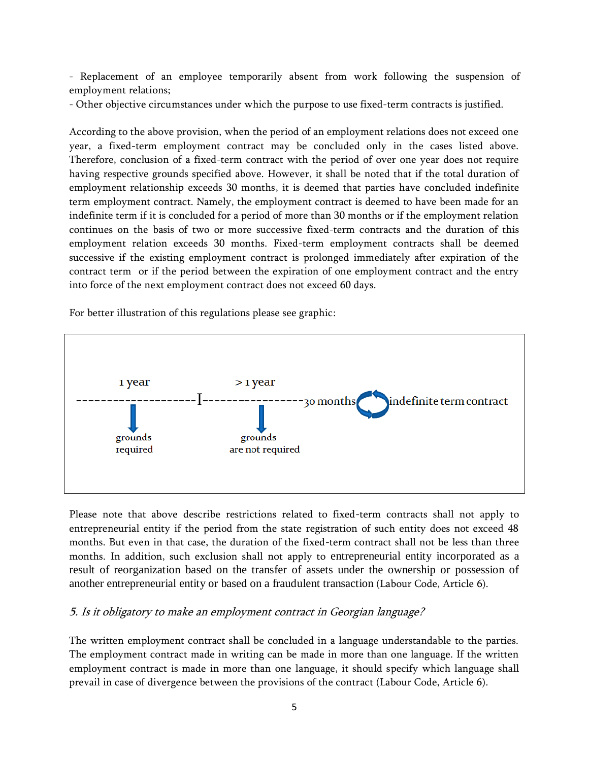- Replacement of an employee temporarily absent from work following the suspension of employment relations;

- Other objective circumstances under which the purpose to use fixed-term contracts is justified.

According to the above provision, when the period of an employment relations does not exceed one year, a fixed-term employment contract may be concluded only in the cases listed above. Therefore, conclusion of a fixed-term contract with the period of over one year does not require having respective grounds specified above. However, it shall be noted that if the total duration of employment relationship exceeds 30 months, it is deemed that parties have concluded indefinite term employment contract. Namely, the employment contract is deemed to have been made for an indefinite term if it is concluded for a period of more than 30 months or if the employment relation continues on the basis of two or more successive fixed-term contracts and the duration of this employment relation exceeds 30 months. Fixed-term employment contracts shall be deemed successive if the existing employment contract is prolonged immediately after expiration of the contract term or if the period between the expiration of one employment contract and the entry into force of the next employment contract does not exceed 60 days.

For better illustration of this regulations please see graphic:



Please note that above describe restrictions related to fixed-term contracts shall not apply to entrepreneurial entity if the period from the state registration of such entity does not exceed 48 months. But even in that case, the duration of the fixed-term contract shall not be less than three months. In addition, such exclusion shall not apply to entrepreneurial entity incorporated as a result of reorganization based on the transfer of assets under the ownership or possession of another entrepreneurial entity or based on a fraudulent transaction (Labour Code, Article 6).

### <span id="page-4-0"></span>5. Is it obligatory to make an employment contract in Georgian language?

The written employment contract shall be concluded in a language understandable to the parties. The employment contract made in writing can be made in more than one language. If the written employment contract is made in more than one language, it should specify which language shall prevail in case of divergence between the provisions of the contract (Labour Code, Article 6).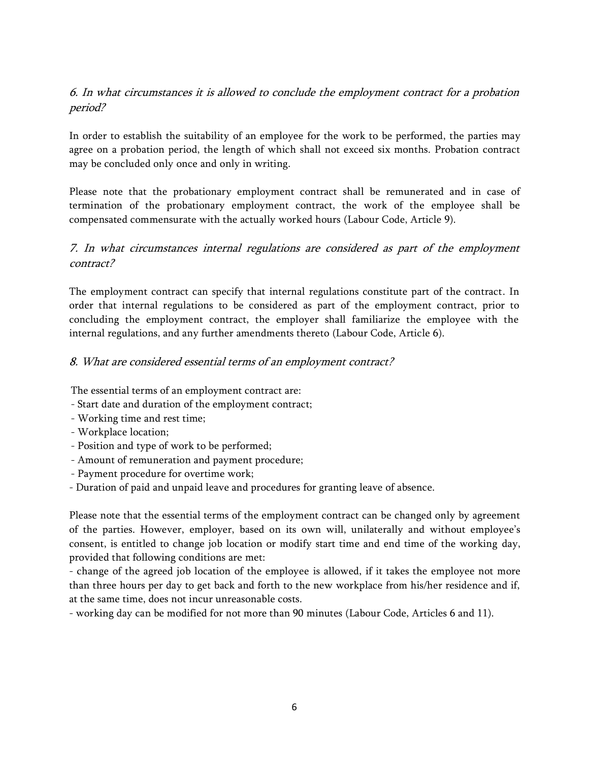## <span id="page-5-0"></span>6. In what circumstances it is allowed to conclude the employment contract for a probation period?

In order to establish the suitability of an employee for the work to be performed, the parties may agree on a probation period, the length of which shall not exceed six months. Probation contract may be concluded only once and only in writing.

Please note that the probationary employment contract shall be remunerated and in case of termination of the probationary employment contract, the work of the employee shall be compensated commensurate with the actually worked hours (Labour Code, Article 9).

# <span id="page-5-1"></span>7. In what circumstances internal regulations are considered as part of the employment contract?

The employment contract can specify that internal regulations constitute part of the contract. In order that internal regulations to be considered as part of the employment contract, prior to concluding the employment contract, the employer shall familiarize the employee with the internal regulations, and any further amendments thereto (Labour Code, Article 6).

#### <span id="page-5-2"></span>8. What are considered essential terms of an employment contract?

The essential terms of an employment contract are:

- Start date and duration of the employment contract;
- Working time and rest time;
- Workplace location;
- Position and type of work to be performed;
- Amount of remuneration and payment procedure;
- Payment procedure for overtime work;
- Duration of paid and unpaid leave and procedures for granting leave of absence.

Please note that the essential terms of the employment contract can be changed only by agreement of the parties. However, employer, based on its own will, unilaterally and without employee's consent, is entitled to change job location or modify start time and end time of the working day, provided that following conditions are met:

- change of the agreed job location of the employee is allowed, if it takes the employee not more than three hours per day to get back and forth to the new workplace from his/her residence and if, at the same time, does not incur unreasonable costs.

- working day can be modified for not more than 90 minutes (Labour Code, Articles 6 and 11).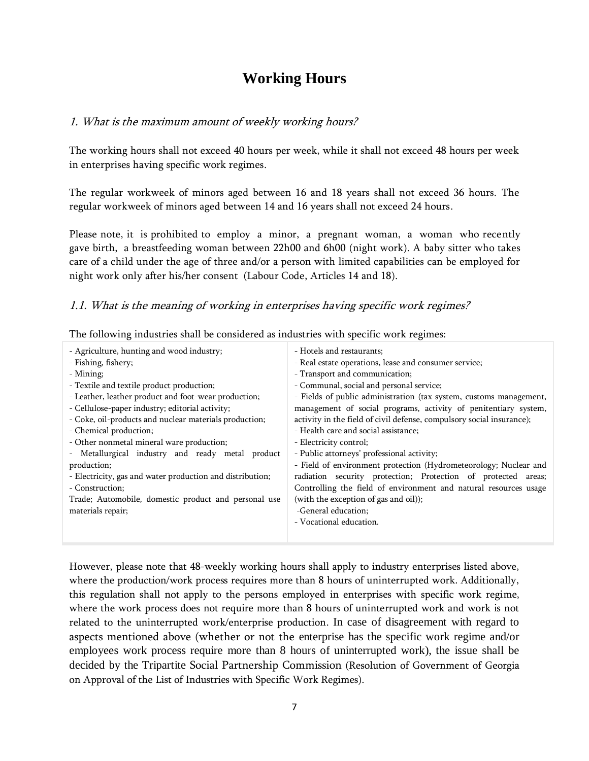# **Working Hours**

#### <span id="page-6-1"></span><span id="page-6-0"></span>1. What is the maximum amount of weekly working hours?

The working hours shall not exceed 40 hours per week, while it shall not exceed 48 hours per week in enterprises having specific work regimes.

The regular workweek of minors aged between 16 and 18 years shall not exceed 36 hours. The regular workweek of minors aged between 14 and 16 years shall not exceed 24 hours.

Please note, it is prohibited to employ a minor, a pregnant woman, a woman who recently gave birth, a breastfeeding woman between 22h00 and 6h00 (night work). A baby sitter who takes care of a child under the age of three and/or a person with limited capabilities can be employed for night work only after his/her consent (Labour Code, Articles 14 and 18).

#### <span id="page-6-2"></span>1.1. What is the meaning of working in enterprises having specific work regimes?

- Agriculture, hunting and wood industry; - Fishing, fishery; - Mining; - Textile and textile product production; - Leather, leather product and foot-wear production; - Cellulose-paper industry; editorial activity; - Coke, oil-products and nuclear materials production; - Chemical production; - Other nonmetal mineral ware production; - Metallurgical industry and ready metal product production; - Electricity, gas and water production and distribution; - Construction; Trade; Automobile, domestic product and personal use materials repair; - Hotels and restaurants; - Real estate operations, lease and consumer service; - Transport and communication; - Communal, social and personal service; - Fields of public administration (tax system, customs management, management of social programs, activity of penitentiary system, activity in the field of civil defense, compulsory social insurance); - Health care and social assistance; - Electricity control; - Public attorneys' professional activity; - Field of environment protection (Hydrometeorology; Nuclear and radiation security protection; Protection of protected areas; Controlling the field of environment and natural resources usage (with the exception of gas and oil)); -General education; - Vocational education.

The following industries shall be considered as industries with specific work regimes:

However, please note that 48-weekly working hours shall apply to industry enterprises listed above, where the production/work process requires more than 8 hours of uninterrupted work. Additionally, this regulation shall not apply to the persons employed in enterprises with specific work regime, where the work process does not require more than 8 hours of uninterrupted work and work is not related to the uninterrupted work/enterprise production. In case of disagreement with regard to aspects mentioned above (whether or not the enterprise has the specific work regime and/or employees work process require more than 8 hours of uninterrupted work), the issue shall be decided by the Tripartite Social Partnership Commission (Resolution of Government of Georgia on Approval of the List of Industries with Specific Work Regimes).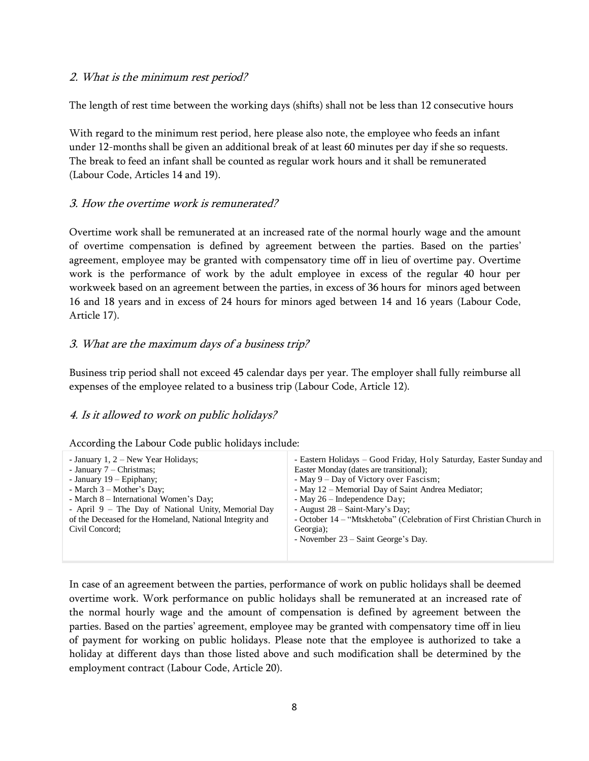#### <span id="page-7-0"></span>2. What is the minimum rest period?

The length of rest time between the working days (shifts) shall not be less than 12 consecutive hours

With regard to the minimum rest period, here please also note, the employee who feeds an infant under 12-months shall be given an additional break of at least 60 minutes per day if she so requests. The break to feed an infant shall be counted as regular work hours and it shall be remunerated (Labour Code, Articles 14 and 19).

#### <span id="page-7-1"></span>3. How the overtime work is remunerated?

Overtime work shall be remunerated at an increased rate of the normal hourly wage and the amount of overtime compensation is defined by agreement between the parties. Based on the parties' agreement, employee may be granted with compensatory time off in lieu of overtime pay. Overtime work is the performance of work by the adult employee in excess of the regular 40 hour per workweek based on an agreement between the parties, in excess of 36 hours for minors aged between 16 and 18 years and in excess of 24 hours for minors aged between 14 and 16 years (Labour Code, Article 17).

#### <span id="page-7-2"></span>3. What are the maximum days of a business trip?

Business trip period shall not exceed 45 calendar days per year. The employer shall fully reimburse all expenses of the employee related to a business trip (Labour Code, Article 12).

### <span id="page-7-3"></span>4. Is it allowed to work on public holidays?

| According the Labour Code public holidays include: |  |  |  |  |  |
|----------------------------------------------------|--|--|--|--|--|
|----------------------------------------------------|--|--|--|--|--|

| Easter Monday (dates are transitional);<br>- January $7$ – Christmas;<br>- January $19$ – Epiphany;<br>- May 9 – Day of Victory over Fascism;<br>- May 12 – Memorial Day of Saint Andrea Mediator;<br>- March $3$ – Mother's Day;<br>- March 8 – International Women's Day;<br>- May $26$ – Independence Day;<br>- April 9 – The Day of National Unity, Memorial Day<br>- August $28 - Saint-Mary's Day$ ;<br>of the Deceased for the Homeland, National Integrity and<br>- October 14 – "Mtskhetoba" (Celebration of First Christian Church in<br>Georgia);<br>Civil Concord:<br>- November $23$ – Saint George's Day. |
|-------------------------------------------------------------------------------------------------------------------------------------------------------------------------------------------------------------------------------------------------------------------------------------------------------------------------------------------------------------------------------------------------------------------------------------------------------------------------------------------------------------------------------------------------------------------------------------------------------------------------|
|-------------------------------------------------------------------------------------------------------------------------------------------------------------------------------------------------------------------------------------------------------------------------------------------------------------------------------------------------------------------------------------------------------------------------------------------------------------------------------------------------------------------------------------------------------------------------------------------------------------------------|

In case of an agreement between the parties, performance of work on public holidays shall be deemed overtime work. Work performance on public holidays shall be remunerated at an increased rate of the normal hourly wage and the amount of compensation is defined by agreement between the parties. Based on the parties' agreement, employee may be granted with compensatory time off in lieu of payment for working on public holidays. Please note that the employee is authorized to take a holiday at different days than those listed above and such modification shall be determined by the employment contract (Labour Code, Article 20).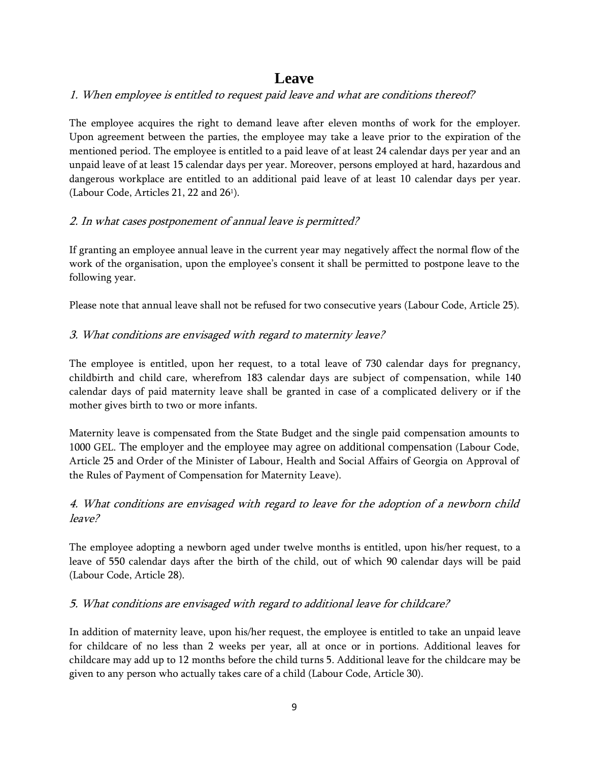# **Leave**

### <span id="page-8-1"></span><span id="page-8-0"></span>1. When employee is entitled to request paid leave and what are conditions thereof?

The employee acquires the right to demand leave after eleven months of work for the employer. Upon agreement between the parties, the employee may take a leave prior to the expiration of the mentioned period. The employee is entitled to a paid leave of at least 24 calendar days per year and an unpaid leave of at least 15 calendar days per year. Moreover, persons employed at hard, hazardous and dangerous workplace are entitled to an additional paid leave of at least 10 calendar days per year. (Labour Code, Articles 21, 22 and  $26^{\circ}$ ).

### <span id="page-8-2"></span>2. In what cases postponement of annual leave is permitted?

If granting an employee annual leave in the current year may negatively affect the normal flow of the work of the organisation, upon the employee's consent it shall be permitted to postpone leave to the following year.

Please note that annual leave shall not be refused for two consecutive years (Labour Code, Article 25).

### <span id="page-8-3"></span>3. What conditions are envisaged with regard to maternity leave?

The employee is entitled, upon her request, to a total leave of 730 calendar days for pregnancy, childbirth and child care, wherefrom 183 calendar days are subject of compensation, while 140 calendar days of paid maternity leave shall be granted in case of a complicated delivery or if the mother gives birth to two or more infants.

Maternity leave is compensated from the State Budget and the single paid compensation amounts to 1000 GEL. The employer and the employee may agree on additional compensation (Labour Code, Article 25 and Order of the Minister of Labour, Health and Social Affairs of Georgia on Approval of the Rules of Payment of Compensation for Maternity Leave).

# <span id="page-8-4"></span>4. What conditions are envisaged with regard to leave for the adoption of a newborn child leave?

The employee adopting a newborn aged under twelve months is entitled, upon his/her request, to a leave of 550 calendar days after the birth of the child, out of which 90 calendar days will be paid (Labour Code, Article 28).

### <span id="page-8-5"></span>5. What conditions are envisaged with regard to additional leave for childcare?

In addition of maternity leave, upon his/her request, the employee is entitled to take an unpaid leave for childcare of no less than 2 weeks per year, all at once or in portions. Additional leaves for childcare may add up to 12 months before the child turns 5. Additional leave for the childcare may be given to any person who actually takes care of a child (Labour Code, Article 30).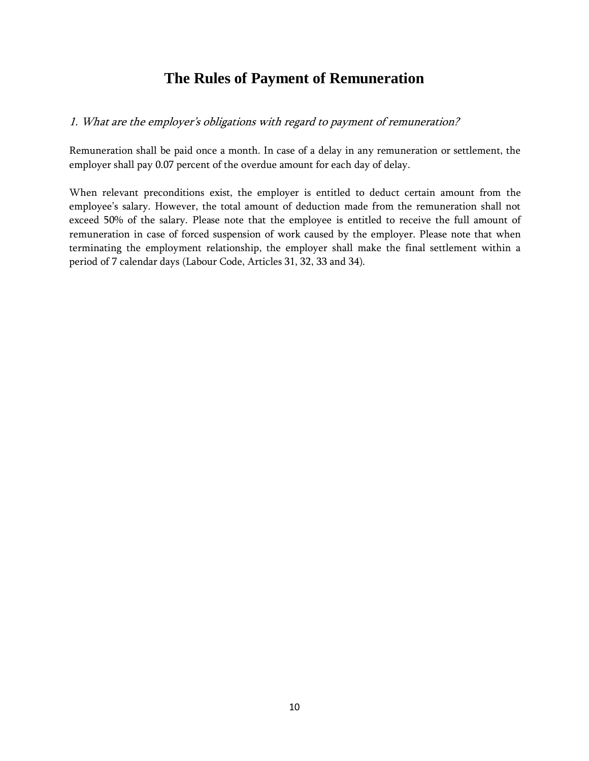# **The Rules of Payment of Remuneration**

### <span id="page-9-1"></span><span id="page-9-0"></span>1. What are the employer's obligation<sup>s</sup> with regard to payment of remuneration?

Remuneration shall be paid once a month. In case of a delay in any remuneration or settlement, the employer shall pay 0.07 percent of the overdue amount for each day of delay.

When relevant preconditions exist, the employer is entitled to deduct certain amount from the employee's salary. However, the total amount of deduction made from the remuneration shall not exceed 50% of the salary. Please note that the employee is entitled to receive the full amount of remuneration in case of forced suspension of work caused by the employer. Please note that when terminating the employment relationship, the employer shall make the final settlement within a period of 7 calendar days (Labour Code, Articles 31, 32, 33 and 34).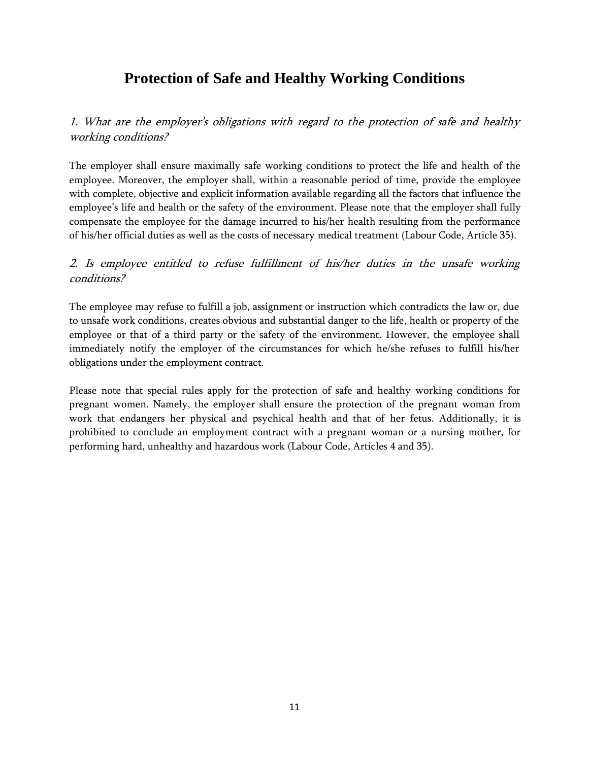# **Protection of Safe and Healthy Working Conditions**

<span id="page-10-1"></span><span id="page-10-0"></span>1. What are the employer's obligation<sup>s</sup> with regard to the protection of safe and healthy working conditions?

The employer shall ensure maximally safe working conditions to protect the life and health of the employee. Moreover, the employer shall, within a reasonable period of time, provide the employee with complete, objective and explicit information available regarding all the factors that influence the employee's life and health or the safety of the environment. Please note that the employer shall fully compensate the employee for the damage incurred to his/her health resulting from the performance of his/her official duties as well as the costs of necessary medical treatment (Labour Code, Article 35).

## <span id="page-10-2"></span>2. Is employee entitled to refuse fulfillment of his/her duties in the unsafe working conditions?

The employee may refuse to fulfill a job, assignment or instruction which contradicts the law or, due to unsafe work conditions, creates obvious and substantial danger to the life, health or property of the employee or that of a third party or the safety of the environment. However, the employee shall immediately notify the employer of the circumstances for which he/she refuses to fulfill his/her obligations under the employment contract.

Please note that special rules apply for the protection of safe and healthy working conditions for pregnant women. Namely, the employer shall ensure the protection of the pregnant woman from work that endangers her physical and psychical health and that of her fetus. Additionally, it is prohibited to conclude an employment contract with a pregnant woman or a nursing mother, for performing hard, unhealthy and hazardous work (Labour Code, Articles 4 and 35).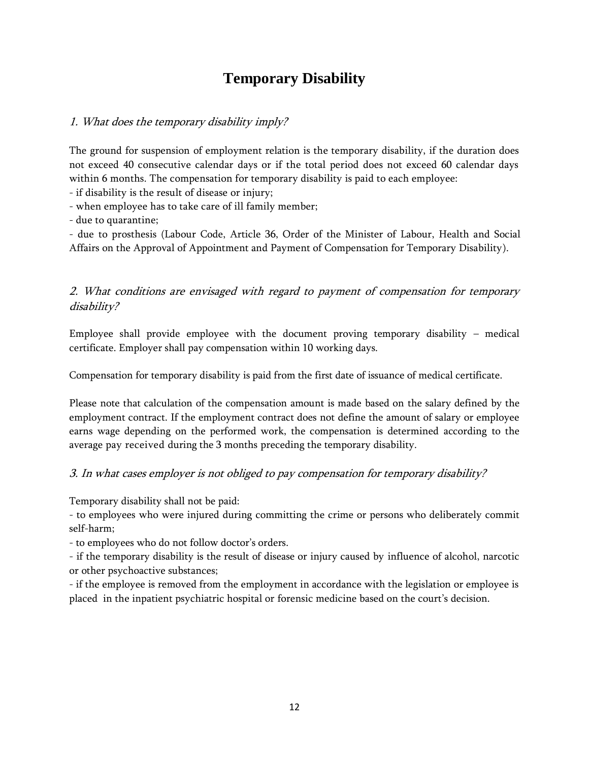# **Temporary Disability**

### <span id="page-11-1"></span><span id="page-11-0"></span>1. What does the temporary disability imply?

The ground for suspension of employment relation is the temporary disability, if the duration does not exceed 40 consecutive calendar days or if the total period does not exceed 60 calendar days within 6 months. The compensation for temporary disability is paid to each employee:

- if disability is the result of disease or injury;

- when employee has to take care of ill family member;

- due to quarantine;

- due to prosthesis (Labour Code, Article 36, Order of the Minister of Labour, Health and Social Affairs on the Approval of Appointment and Payment of Compensation for Temporary Disability).

## <span id="page-11-2"></span>2. What conditions are envisaged with regard to payment of compensation for temporary disability?

Employee shall provide employee with the document proving temporary disability – medical certificate. Employer shall pay compensation within 10 working days.

Compensation for temporary disability is paid from the first date of issuance of medical certificate.

Please note that calculation of the compensation amount is made based on the salary defined by the employment contract. If the employment contract does not define the amount of salary or employee earns wage depending on the performed work, the compensation is determined according to the average pay received during the 3 months preceding the temporary disability.

### <span id="page-11-3"></span>3. In what cases employer is not obliged to pay compensation for temporary disability?

Temporary disability shall not be paid:

- to employees who were injured during committing the crime or persons who deliberately commit self-harm;

- to employees who do not follow doctor's orders.

- if the temporary disability is the result of disease or injury caused by influence of alcohol, narcotic or other psychoactive substances;

- if the employee is removed from the employment in accordance with the legislation or employee is placed in the inpatient psychiatric hospital or forensic medicine based on the court's decision.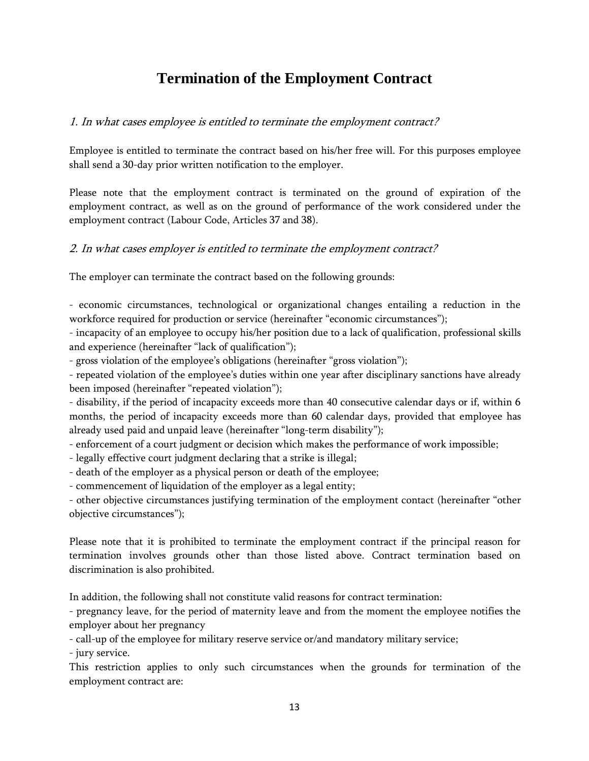# **Termination of the Employment Contract**

### <span id="page-12-1"></span><span id="page-12-0"></span>1. In what cases employee is entitled to terminate the employment contract?

Employee is entitled to terminate the contract based on his/her free will. For this purposes employee shall send a 30-day prior written notification to the employer.

Please note that the employment contract is terminated on the ground of expiration of the employment contract, as well as on the ground of performance of the work considered under the employment contract (Labour Code, Articles 37 and 38).

### <span id="page-12-2"></span>2. In what cases employer is entitled to terminate the employment contract?

The employer can terminate the contract based on the following grounds:

- economic circumstances, technological or organizational changes entailing a reduction in the workforce required for production or service (hereinafter "economic circumstances");

- incapacity of an employee to occupy his/her position due to a lack of qualification, professional skills and experience (hereinafter "lack of qualification");

- gross violation of the employee's obligations (hereinafter "gross violation");

- repeated violation of the employee's duties within one year after disciplinary sanctions have already been imposed (hereinafter "repeated violation");

- disability, if the period of incapacity exceeds more than 40 consecutive calendar days or if, within 6 months, the period of incapacity exceeds more than 60 calendar days, provided that employee has already used paid and unpaid leave (hereinafter "long-term disability");

- enforcement of a court judgment or decision which makes the performance of work impossible;

- legally effective court judgment declaring that a strike is illegal;

- death of the employer as a physical person or death of the employee;

- commencement of liquidation of the employer as a legal entity;

- other objective circumstances justifying termination of the employment contact (hereinafter "other objective circumstances");

Please note that it is prohibited to terminate the employment contract if the principal reason for termination involves grounds other than those listed above. Contract termination based on discrimination is also prohibited.

In addition, the following shall not constitute valid reasons for contract termination:

- pregnancy leave, for the period of maternity leave and from the moment the employee notifies the employer about her pregnancy

- call-up of the employee for military reserve service or/and mandatory military service;

- jury service.

This restriction applies to only such circumstances when the grounds for termination of the employment contract are: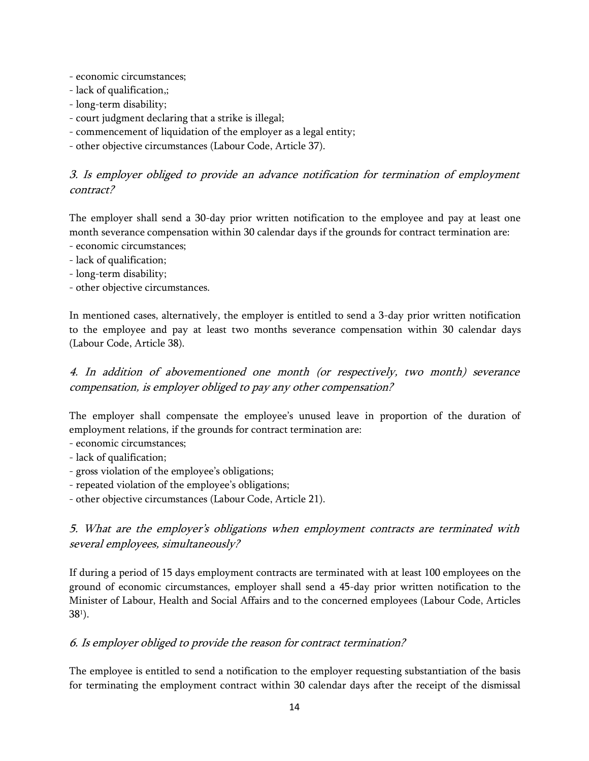- economic circumstances;
- lack of qualification,;
- long-term disability;
- court judgment declaring that a strike is illegal;
- commencement of liquidation of the employer as a legal entity;
- other objective circumstances (Labour Code, Article 37).

## <span id="page-13-0"></span>3. Is employer obliged to provide an advance notification for termination of employment contract?

The employer shall send a 30-day prior written notification to the employee and pay at least one month severance compensation within 30 calendar days if the grounds for contract termination are: - economic circumstances;

- lack of qualification;
- long-term disability;
- other objective circumstances.

In mentioned cases, alternatively, the employer is entitled to send a 3-day prior written notification to the employee and pay at least two months severance compensation within 30 calendar days (Labour Code, Article 38).

<span id="page-13-1"></span>4. In addition of abovementioned one month (or respectively, two month) severance compensation, is employer obliged to pay any other compensation?

The employer shall compensate the employee's unused leave in proportion of the duration of employment relations, if the grounds for contract termination are:

- economic circumstances;
- lack of qualification;
- gross violation of the employee's obligations;
- repeated violation of the employee's obligations;
- other objective circumstances (Labour Code, Article 21).

# <span id="page-13-2"></span>5. What are the employer's obligations when employment contracts are terminated with several employees, simultaneously?

If during a period of 15 days employment contracts are terminated with at least 100 employees on the ground of economic circumstances, employer shall send a 45-day prior written notification to the Minister of Labour, Health and Social Affairs and to the concerned employees (Labour Code, Articles 38<sup>1</sup> ).

### <span id="page-13-3"></span>6. Is employer obliged to provide the reason for contract termination?

The employee is entitled to send a notification to the employer requesting substantiation of the basis for terminating the employment contract within 30 calendar days after the receipt of the dismissal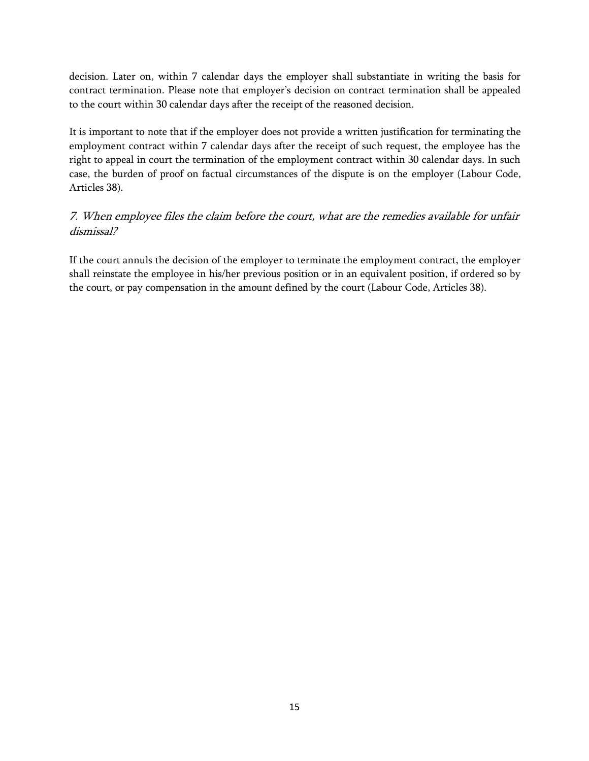decision. Later on, within 7 calendar days the employer shall substantiate in writing the basis for contract termination. Please note that employer's decision on contract termination shall be appealed to the court within 30 calendar days after the receipt of the reasoned decision.

It is important to note that if the employer does not provide a written justification for terminating the employment contract within 7 calendar days after the receipt of such request, the employee has the right to appeal in court the termination of the employment contract within 30 calendar days. In such case, the burden of proof on factual circumstances of the dispute is on the employer (Labour Code, Articles 38).

# <span id="page-14-0"></span>7. When employee files the claim before the court, what are the remedies available for unfair dismissal?

If the court annuls the decision of the employer to terminate the employment contract, the employer shall reinstate the employee in his/her previous position or in an equivalent position, if ordered so by the court, or pay compensation in the amount defined by the court (Labour Code, Articles 38).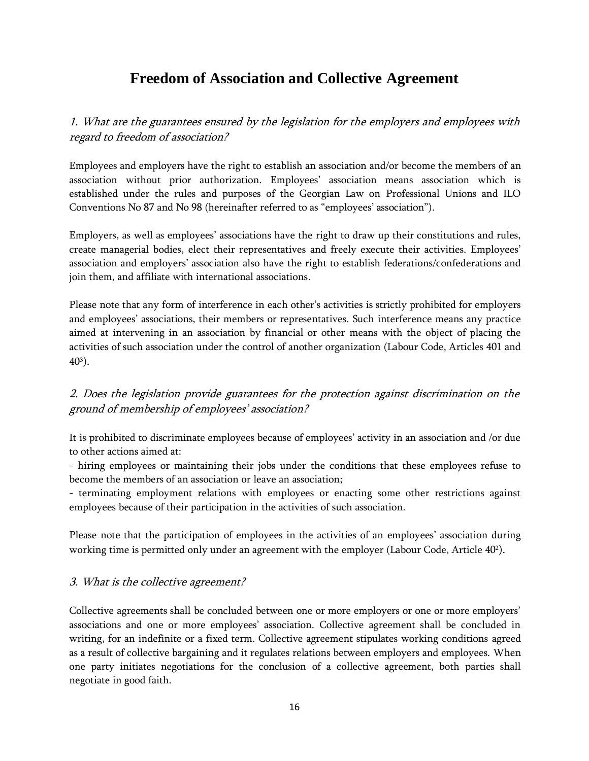# **Freedom of Association and Collective Agreement**

<span id="page-15-1"></span><span id="page-15-0"></span>1. What are the guarantees ensured by the legislation for the employers and employees with regard to freedom of association?

Employees and employers have the right to establish an association and/or become the members of an association without prior authorization. Employees' association means association which is established under the rules and purposes of the Georgian Law on Professional Unions and ILO Conventions No 87 and No 98 (hereinafter referred to as "employees' association").

Employers, as well as employees' associations have the right to draw up their constitutions and rules, create managerial bodies, elect their representatives and freely execute their activities. Employees' association and employers' association also have the right to establish federations/confederations and join them, and affiliate with international associations.

Please note that any form of interference in each other's activities is strictly prohibited for employers and employees' associations, their members or representatives. Such interference means any practice aimed at intervening in an association by financial or other means with the object of placing the activities of such association under the control of another organization (Labour Code, Articles 401 and 40<sup>3</sup> ).

# <span id="page-15-2"></span>2. Does the legislation provide guarantees for the protection against discrimination on the ground of membership of employees' association?

It is prohibited to discriminate employees because of employees' activity in an association and /or due to other actions aimed at:

- hiring employees or maintaining their jobs under the conditions that these employees refuse to become the members of an association or leave an association;

- terminating employment relations with employees or enacting some other restrictions against employees because of their participation in the activities of such association.

Please note that the participation of employees in the activities of an employees' association during working time is permitted only under an agreement with the employer (Labour Code, Article 40<sup>2</sup>).

### <span id="page-15-3"></span>3. What is the collective agreement?

Collective agreements shall be concluded between one or more employers or one or more employers' associations and one or more employees' association. Collective agreement shall be concluded in writing, for an indefinite or a fixed term. Collective agreement stipulates working conditions agreed as a result of collective bargaining and it regulates relations between employers and employees. When one party initiates negotiations for the conclusion of a collective agreement, both parties shall negotiate in good faith.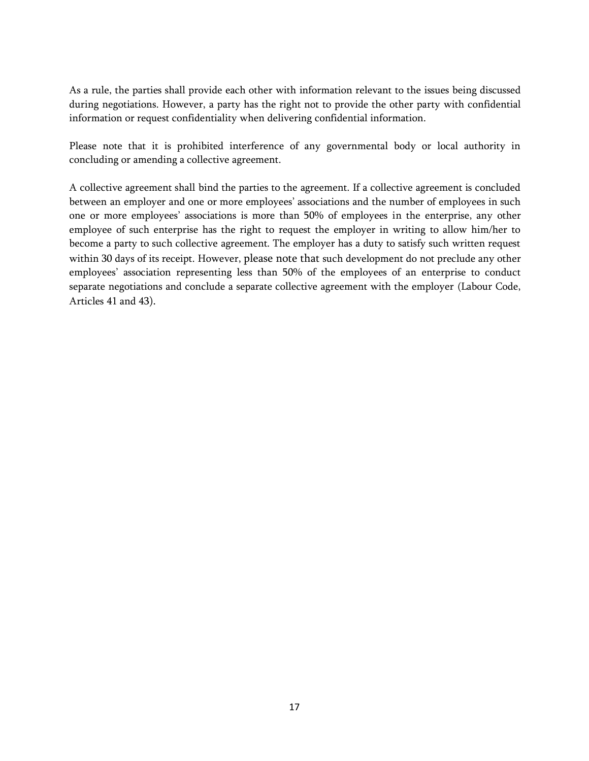As a rule, the parties shall provide each other with information relevant to the issues being discussed during negotiations. However, a party has the right not to provide the other party with confidential information or request confidentiality when delivering confidential information.

Please note that it is prohibited interference of any governmental body or local authority in concluding or amending a collective agreement.

A collective agreement shall bind the parties to the agreement. If a collective agreement is concluded between an employer and one or more employees' associations and the number of employees in such one or more employees' associations is more than 50% of employees in the enterprise, any other employee of such enterprise has the right to request the employer in writing to allow him/her to become a party to such collective agreement. The employer has a duty to satisfy such written request within 30 days of its receipt. However, please note that such development do not preclude any other employees' association representing less than 50% of the employees of an enterprise to conduct separate negotiations and conclude a separate collective agreement with the employer (Labour Code, Articles 41 and 43).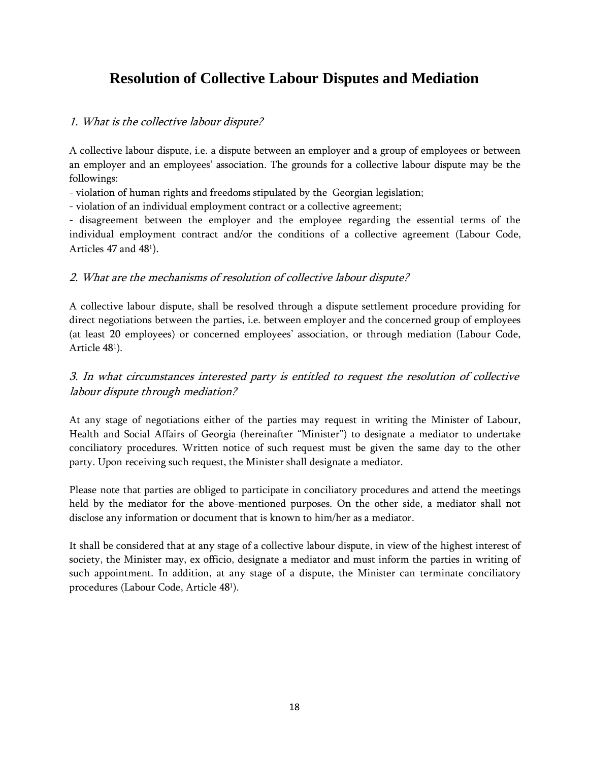# <span id="page-17-0"></span>**Resolution of Collective Labour Disputes and Mediation**

### <span id="page-17-1"></span>1. What is the collective labour dispute?

A collective labour dispute, i.e. a dispute between an employer and a group of employees or between an employer and an employees' association. The grounds for a collective labour dispute may be the followings:

- violation of human rights and freedoms stipulated by the Georgian legislation;

- violation of an individual employment contract or a collective agreement;

- disagreement between the employer and the employee regarding the essential terms of the individual employment contract and/or the conditions of a collective agreement (Labour Code, Articles 47 and 48<sup>1</sup>).

### <span id="page-17-2"></span>2. What are the mechanisms of resolution of collective labour dispute?

A collective labour dispute, shall be resolved through a dispute settlement procedure providing for direct negotiations between the parties, i.e. between employer and the concerned group of employees (at least 20 employees) or concerned employees' association, or through mediation (Labour Code, Article 48<sup>1</sup> ).

# <span id="page-17-3"></span>3. In what circumstances interested party is entitled to request the resolution of collective labour dispute through mediation?

At any stage of negotiations either of the parties may request in writing the Minister of Labour, Health and Social Affairs of Georgia (hereinafter "Minister") to designate a mediator to undertake conciliatory procedures. Written notice of such request must be given the same day to the other party. Upon receiving such request, the Minister shall designate a mediator.

Please note that parties are obliged to participate in conciliatory procedures and attend the meetings held by the mediator for the above-mentioned purposes. On the other side, a mediator shall not disclose any information or document that is known to him/her as a mediator.

It shall be considered that at any stage of a collective labour dispute, in view of the highest interest of society, the Minister may, ex officio, designate a mediator and must inform the parties in writing of such appointment. In addition, at any stage of a dispute, the Minister can terminate conciliatory procedures (Labour Code, Article 48<sup>1</sup> ).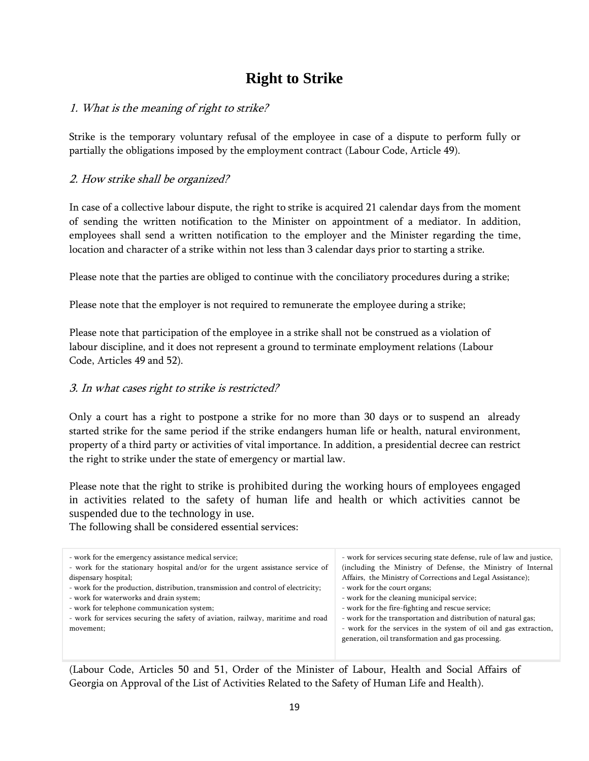# **Right to Strike**

### <span id="page-18-1"></span><span id="page-18-0"></span>1. What is the meaning of right to strike?

Strike is the temporary voluntary refusal of the employee in case of a dispute to perform fully or partially the obligations imposed by the employment contract (Labour Code, Article 49).

### <span id="page-18-2"></span>2. How strike shall be organized?

In case of a collective labour dispute, the right to strike is acquired 21 calendar days from the moment of sending the written notification to the Minister on appointment of a mediator. In addition, employees shall send a written notification to the employer and the Minister regarding the time, location and character of a strike within not less than 3 calendar days prior to starting a strike.

Please note that the parties are obliged to continue with the conciliatory procedures during a strike;

Please note that the employer is not required to remunerate the employee during a strike;

Please note that participation of the employee in a strike shall not be construed as a violation of labour discipline, and it does not represent a ground to terminate employment relations (Labour Code, Articles 49 and 52).

### <span id="page-18-3"></span>3. In what cases right to strike is restricted?

Only a court has a right to postpone a strike for no more than 30 days or to suspend an already started strike for the same period if the strike endangers human life or health, natural environment, property of a third party or activities of vital importance. In addition, a presidential decree can restrict the right to strike under the state of emergency or martial law.

Please note that the right to strike is prohibited during the working hours of employees engaged in activities related to the safety of human life and health or which activities cannot be suspended due to the technology in use.

The following shall be considered essential services:

| - work for services securing state defense, rule of law and justice,<br>(including the Ministry of Defense, the Ministry of Internal<br>Affairs, the Ministry of Corrections and Legal Assistance);<br>- work for the court organs;<br>- work for the cleaning municipal service;<br>- work for the fire-fighting and rescue service;<br>- work for the transportation and distribution of natural gas;<br>- work for the services in the system of oil and gas extraction,<br>generation, oil transformation and gas processing. |
|-----------------------------------------------------------------------------------------------------------------------------------------------------------------------------------------------------------------------------------------------------------------------------------------------------------------------------------------------------------------------------------------------------------------------------------------------------------------------------------------------------------------------------------|
|                                                                                                                                                                                                                                                                                                                                                                                                                                                                                                                                   |

(Labour Code, Articles 50 and 51, Order of the Minister of Labour, Health and Social Affairs of Georgia on Approval of the List of Activities Related to the Safety of Human Life and Health).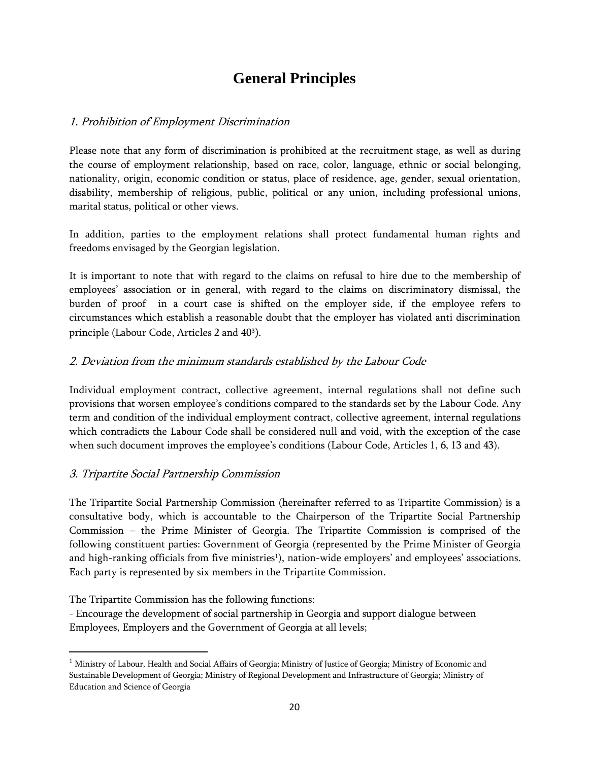# **General Principles**

### <span id="page-19-1"></span><span id="page-19-0"></span>1. Prohibition of Employment Discrimination

Please note that any form of discrimination is prohibited at the recruitment stage, as well as during the course of employment relationship, based on race, color, language, ethnic or social belonging, nationality, origin, economic condition or status, place of residence, age, gender, sexual orientation, disability, membership of religious, public, political or any union, including professional unions, marital status, political or other views.

In addition, parties to the employment relations shall protect fundamental human rights and freedoms envisaged by the Georgian legislation.

It is important to note that with regard to the claims on refusal to hire due to the membership of employees' association or in general, with regard to the claims on discriminatory dismissal, the burden of proof in a court case is shifted on the employer side, if the employee refers to circumstances which establish a reasonable doubt that the employer has violated anti discrimination principle (Labour Code, Articles 2 and 40<sup>3</sup>).

### <span id="page-19-2"></span>2. Deviation from the minimum standards established by the Labour Code

Individual employment contract, collective agreement, internal regulations shall not define such provisions that worsen employee's conditions compared to the standards set by the Labour Code. Any term and condition of the individual employment contract, collective agreement, internal regulations which contradicts the Labour Code shall be considered null and void, with the exception of the case when such document improves the employee's conditions (Labour Code, Articles 1, 6, 13 and 43).

### <span id="page-19-3"></span>3. Tripartite Social Partnership Commission

The Tripartite Social Partnership Commission (hereinafter referred to as Tripartite Commission) is a consultative body, which is accountable to the Chairperson of the Tripartite Social Partnership Commission – the Prime Minister of Georgia. The Tripartite Commission is comprised of the following constituent parties: Government of Georgia (represented by the Prime Minister of Georgia and high-ranking officials from five ministries<sup>1</sup>), nation-wide employers' and employees' associations. Each party is represented by six members in the Tripartite Commission.

The Tripartite Commission has the following functions:

 $\overline{a}$ 

- Encourage the development of social partnership in Georgia and support dialogue between Employees, Employers and the Government of Georgia at all levels;

<sup>&</sup>lt;sup>1</sup> Ministry of Labour, Health and Social Affairs of Georgia; Ministry of Justice of Georgia; Ministry of Economic and Sustainable Development of Georgia; Ministry of Regional Development and Infrastructure of Georgia; Ministry of Education and Science of Georgia